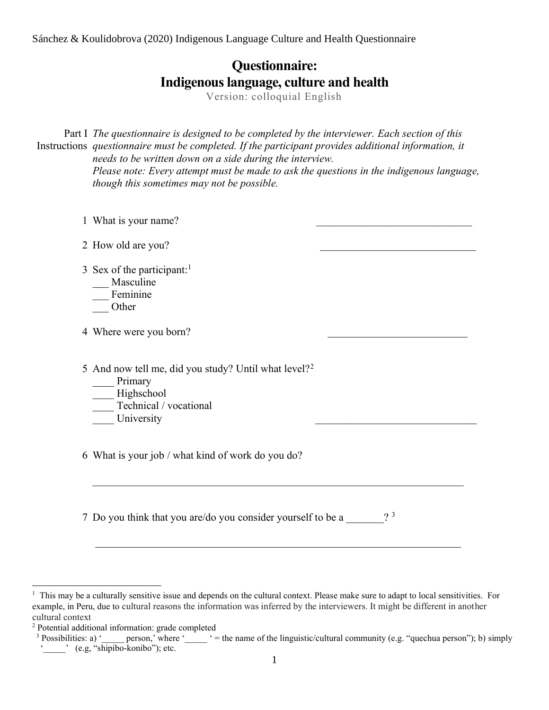# **Questionnaire: Indigenous language, culture and health**

Version: colloquial English

Part I The questionnaire is designed to be completed by the interviewer. Each section of this Instructions questionnaire must be completed. If the participant provides additional information, it *needs to be written down on a side during the interview. Please note: Every attempt must be made to ask the questions in the indigenous language, though this sometimes may not be possible.*

| 1 What is your name?                                                                                                              |                |
|-----------------------------------------------------------------------------------------------------------------------------------|----------------|
| 2 How old are you?                                                                                                                |                |
| 3 Sex of the participant: <sup>1</sup><br>Masculine<br>Feminine<br>Other                                                          |                |
| 4 Where were you born?                                                                                                            |                |
| 5 And now tell me, did you study? Until what level? <sup>2</sup><br>Primary<br>Highschool<br>Technical / vocational<br>University |                |
| 6 What is your job / what kind of work do you do?                                                                                 |                |
| 7 Do you think that you are/do you consider yourself to be a                                                                      | 2 <sup>3</sup> |

 $<sup>1</sup>$  This may be a culturally sensitive issue and depends on the cultural context. Please make sure to adapt to local sensitivities. For</sup> example, in Peru, due to cultural reasons the information was inferred by the interviewers. It might be different in another cultural context

<sup>2</sup> Potential additional information: grade completed

<sup>&</sup>lt;sup>3</sup> Possibilities: a) ' person,' where '  $=$  the name of the linguistic/cultural community (e.g. "quechua person"); b) simply ' c.g, "shipibo-konibo"); etc.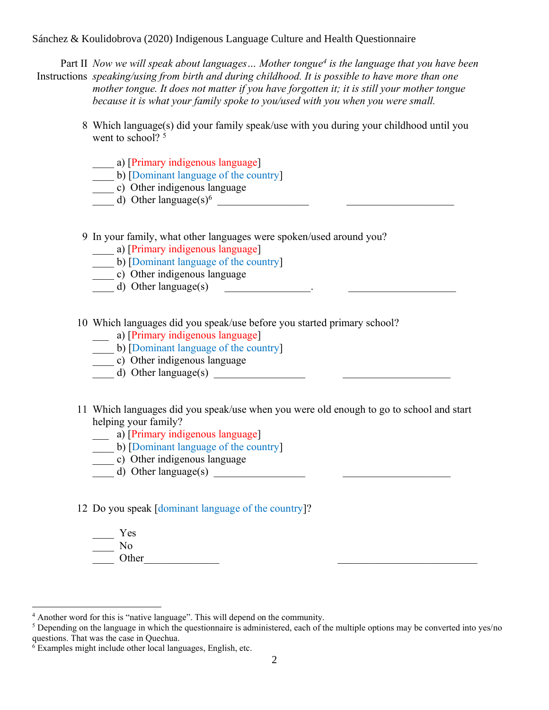Part II *Now we will speak about languages… Mother tongue<sup>4</sup> is the language that you have been*  Instructions *speaking/using from birth and during childhood. It is possible to have more than one mother tongue. It does not matter if you have forgotten it; it is still your mother tongue because it is what your family spoke to you/used with you when you were small.* 

- 8 Which language(s) did your family speak/use with you during your childhood until you went to school?<sup>5</sup>
	- \_\_\_\_ a) [Primary indigenous language]
	- \_\_\_\_ b) [Dominant language of the country]
	- \_\_\_\_ c) Other indigenous language
	- d) Other language $(s)^6$

9 In your family, what other languages were spoken/used around you?

\_\_\_\_ a) [Primary indigenous language]

b) [Dominant language of the country]

- c) Other indigenous language
- $\frac{d}{dx}$  Other language(s)  $\frac{d}{dx}$

10 Which languages did you speak/use before you started primary school?

- \_\_\_ a) [Primary indigenous language]
- b) [Dominant language of the country]
- \_\_\_\_ c) Other indigenous language
- $\overline{d}$  Other language(s)
- 11 Which languages did you speak/use when you were old enough to go to school and start helping your family?
	- \_\_\_ a) [Primary indigenous language]
	- \_\_\_\_ b) [Dominant language of the country]
	- \_\_\_\_ c) Other indigenous language
	- $\overline{d}$  Other language(s)

#### 12 Do you speak [dominant language of the country]?

\_\_\_\_ Yes  $\overline{\phantom{a}}$  No Other

<sup>4</sup> Another word for this is "native language". This will depend on the community.

<sup>&</sup>lt;sup>5</sup> Depending on the language in which the questionnaire is administered, each of the multiple options may be converted into yes/no questions. That was the case in Quechua.

 $6$  Examples might include other local languages, English, etc.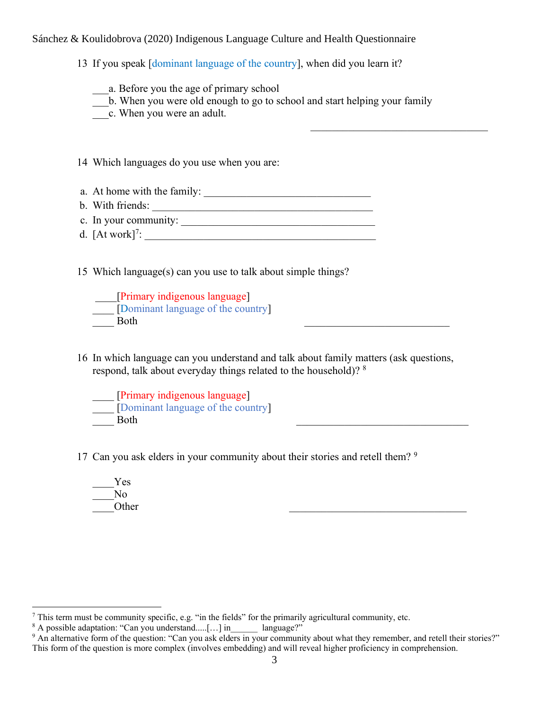13 If you speak [dominant language of the country], when did you learn it?

a. Before you the age of primary school

- \_\_\_b. When you were old enough to go to school and start helping your family
- \_\_\_c. When you were an adult.

14 Which languages do you use when you are:

- a. At home with the family:
- b. With friends:
- c. In your community: \_\_\_\_\_\_\_\_\_\_\_\_\_\_\_\_\_\_\_\_\_\_\_\_\_\_\_\_\_\_\_\_\_\_\_\_
- d.  $[At work]^7$ :

15 Which language(s) can you use to talk about simple things?

\_\_\_\_[Primary indigenous language] \_\_\_\_ [Dominant language of the country] Both

16 In which language can you understand and talk about family matters (ask questions, respond, talk about everyday things related to the household)? <sup>8</sup>

\_\_\_\_ [Primary indigenous language] Dominant language of the country Both

17 Can you ask elders in your community about their stories and retell them?<sup>9</sup>

\_\_\_\_Yes No. Other  $\Box$ 

<sup>7</sup> This term must be community specific, e.g. "in the fields" for the primarily agricultural community, etc.

<sup>&</sup>lt;sup>8</sup> A possible adaptation: "Can you understand.....[...] in language?"

 $9$  An alternative form of the question: "Can you ask elders in your community about what they remember, and retell their stories?" This form of the question is more complex (involves embedding) and will reveal higher proficiency in comprehension.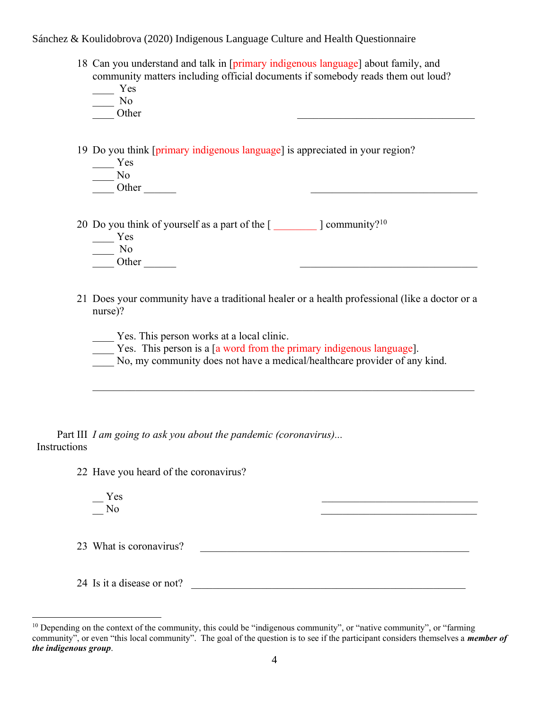18 Can you understand and talk in [primary indigenous language] about family, and community matters including official documents if somebody reads them out loud?

\_\_\_\_ Yes \_\_\_\_ No

Other  $\Box$ 

19 Do you think [primary indigenous language] is appreciated in your region?

 $\qquad \qquad \text{Yes}$ 

\_\_\_\_ No  $\frac{N^{\rm oo}}{\rm Other}$ 

20 Do you think of yourself as a part of the  $[$   $]$  community?<sup>10</sup>

- \_\_\_\_ Yes
- 
- $\frac{N_0}{\text{Other}}$
- 21 Does your community have a traditional healer or a health professional (like a doctor or a nurse)?

 $\overline{\phantom{a}}$ 

Yes. This person works at a local clinic.

- Yes. This person is a [a word from the primary indigenous language].
- No, my community does not have a medical/healthcare provider of any kind.

Part III *I am going to ask you about the pandemic (coronavirus)...* Instructions

22 Have you heard of the coronavirus?

 $Yes$  $\rm No$ 

23 What is coronavirus? \_\_\_\_\_\_\_\_\_\_\_\_\_\_\_\_\_\_\_\_\_\_\_\_\_\_\_\_\_\_\_\_\_\_\_\_\_\_\_\_\_\_\_\_\_\_\_\_\_\_

24 Is it a disease or not? \_\_\_\_\_\_\_\_\_\_\_\_\_\_\_\_\_\_\_\_\_\_\_\_\_\_\_\_\_\_\_\_\_\_\_\_\_\_\_\_\_\_\_\_\_\_\_\_\_\_\_

 $10$  Depending on the context of the community, this could be "indigenous community", or "native community", or "farming" community", or even "this local community". The goal of the question is to see if the participant considers themselves a *member of the indigenous group*.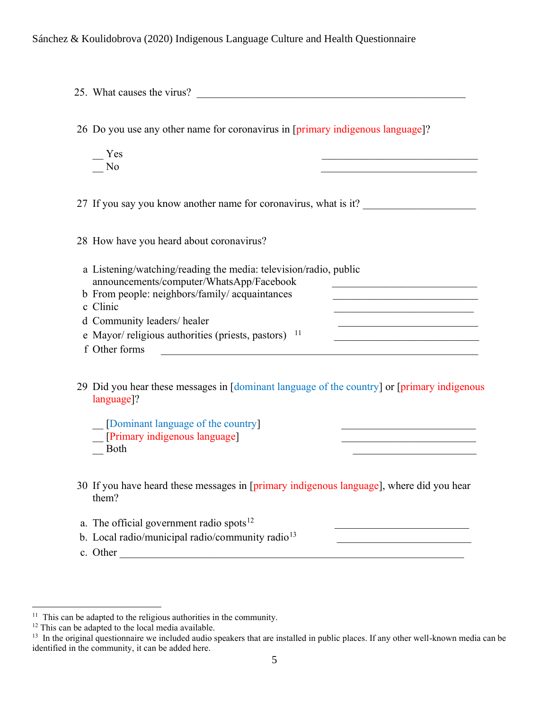| 25. What causes the virus?                                                                                                                                                                                                                                                          |                                                                                                                                                                                                                                                                                                                                                                              |
|-------------------------------------------------------------------------------------------------------------------------------------------------------------------------------------------------------------------------------------------------------------------------------------|------------------------------------------------------------------------------------------------------------------------------------------------------------------------------------------------------------------------------------------------------------------------------------------------------------------------------------------------------------------------------|
| 26 Do you use any other name for coronavirus in [primary indigenous language]?                                                                                                                                                                                                      |                                                                                                                                                                                                                                                                                                                                                                              |
| Yes<br>No                                                                                                                                                                                                                                                                           | the control of the control of the control of the control of the control of                                                                                                                                                                                                                                                                                                   |
| 27 If you say you know another name for coronavirus, what is it?                                                                                                                                                                                                                    |                                                                                                                                                                                                                                                                                                                                                                              |
| 28 How have you heard about coronavirus?                                                                                                                                                                                                                                            |                                                                                                                                                                                                                                                                                                                                                                              |
| a Listening/watching/reading the media: television/radio, public<br>announcements/computer/WhatsApp/Facebook<br>b From people: neighbors/family/ acquaintances<br>c Clinic<br>d Community leaders/healer<br>e Mayor/ religious authorities (priests, pastors) $11$<br>f Other forms | <u> 1989 - Johann John Stein, markanist fra de francez (</u><br><u> 1989 - Johann John Stone, mars eta bainar eta mondo</u><br><u> 1989 - Johann John Stone, mars eta bainar eta baina eta erromania eta baina eta baina eta baina eta baina eta</u><br><u> 1989 - Johann Stein, marwolaethau a bhann an t-Amhain an t-Amhain an t-Amhain an t-Amhain an t-Amhain an t-A</u> |
| 29 Did you hear these messages in [dominant language of the country] or [primary indigenous<br>language]?                                                                                                                                                                           |                                                                                                                                                                                                                                                                                                                                                                              |
| [Dominant language of the country]<br>[Primary indigenous language]<br><b>Both</b>                                                                                                                                                                                                  | <u> 1989 - Johann Barbara, martin amerikan basal dan berasal dalam basal dalam basal dalam basal dalam basal dala</u><br><u> 1980 - Johann Barbara, martxa a</u>                                                                                                                                                                                                             |
| 30 If you have heard these messages in [primary indigenous language], where did you hear<br>them?                                                                                                                                                                                   |                                                                                                                                                                                                                                                                                                                                                                              |
| a. The official government radio spots <sup>12</sup><br>b. Local radio/municipal radio/community radio <sup>13</sup><br>c. Other                                                                                                                                                    |                                                                                                                                                                                                                                                                                                                                                                              |

<sup>&</sup>lt;sup>11</sup> This can be adapted to the religious authorities in the community.

<sup>&</sup>lt;sup>12</sup> This can be adapted to the local media available.<br><sup>13</sup> In the original questionnaire we included audio speakers that are installed in public places. If any other well-known media can be identified in the community, it can be added here.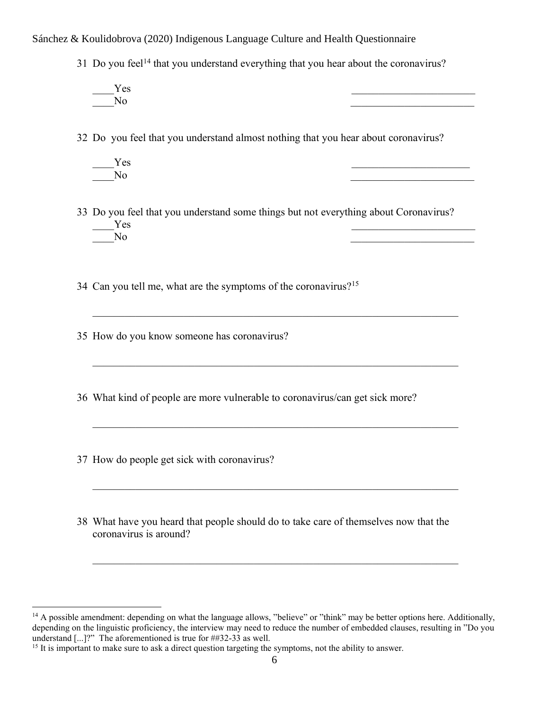31 Do you feel<sup>14</sup> that you understand everything that you hear about the coronavirus?

 $Yes$ No quantity  $\overline{a}$  and  $\overline{b}$  and  $\overline{b}$  and  $\overline{b}$  and  $\overline{a}$  and  $\overline{a}$  and  $\overline{b}$  and  $\overline{b}$  and  $\overline{b}$  and  $\overline{b}$  and  $\overline{b}$  and  $\overline{b}$  and  $\overline{b}$  and  $\overline{b}$  and  $\overline{b}$  and  $\overline{b}$  and  $\$ 

32 Do you feel that you understand almost nothing that you hear about coronavirus?

 $Yes$ No quantity  $\overline{a}$  and  $\overline{b}$  and  $\overline{b}$  and  $\overline{b}$  and  $\overline{a}$  and  $\overline{a}$  and  $\overline{b}$  and  $\overline{b}$  and  $\overline{b}$  and  $\overline{b}$  and  $\overline{b}$  and  $\overline{b}$  and  $\overline{b}$  and  $\overline{b}$  and  $\overline{b}$  and  $\overline{b}$  and  $\$ 

33 Do you feel that you understand some things but not everything about Coronavirus?  $Yes$ No quantity  $\overline{a}$  and  $\overline{b}$  and  $\overline{b}$  and  $\overline{b}$  and  $\overline{a}$  and  $\overline{a}$  and  $\overline{b}$  and  $\overline{b}$  and  $\overline{b}$  and  $\overline{b}$  and  $\overline{b}$  and  $\overline{b}$  and  $\overline{b}$  and  $\overline{b}$  and  $\overline{b}$  and  $\overline{b}$  and  $\$ 

34 Can you tell me, what are the symptoms of the coronavirus?<sup>15</sup>

35 How do you know someone has coronavirus?

36 What kind of people are more vulnerable to coronavirus/can get sick more?

 $\mathcal{L}_\mathcal{L} = \mathcal{L}_\mathcal{L} = \mathcal{L}_\mathcal{L} = \mathcal{L}_\mathcal{L} = \mathcal{L}_\mathcal{L} = \mathcal{L}_\mathcal{L} = \mathcal{L}_\mathcal{L} = \mathcal{L}_\mathcal{L} = \mathcal{L}_\mathcal{L} = \mathcal{L}_\mathcal{L} = \mathcal{L}_\mathcal{L} = \mathcal{L}_\mathcal{L} = \mathcal{L}_\mathcal{L} = \mathcal{L}_\mathcal{L} = \mathcal{L}_\mathcal{L} = \mathcal{L}_\mathcal{L} = \mathcal{L}_\mathcal{L}$ 

37 How do people get sick with coronavirus?

38 What have you heard that people should do to take care of themselves now that the coronavirus is around?

<sup>&</sup>lt;sup>14</sup> A possible amendment: depending on what the language allows, "believe" or "think" may be better options here. Additionally, depending on the linguistic proficiency, the interview may need to reduce the number of embedded clauses, resulting in "Do you understand [...]?" The aforementioned is true for ##32-33 as well.

<sup>&</sup>lt;sup>15</sup> It is important to make sure to ask a direct question targeting the symptoms, not the ability to answer.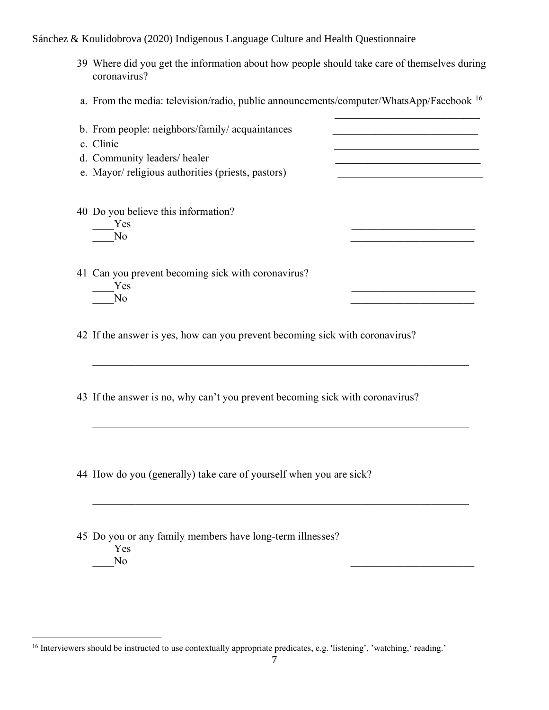- 39 Where did you get the information about how people should take care of themselves during coronavirus?
- a. From the media: television/radio, public announcements/computer/WhatsApp/Facebook <sup>16</sup>

| b. From people: neighbors/family/ acquaintances<br>c. Clinic<br>d. Community leaders/healer<br>e. Mayor/ religious authorities (priests, pastors) |  |
|---------------------------------------------------------------------------------------------------------------------------------------------------|--|
| 40 Do you believe this information?<br>Yes<br>No                                                                                                  |  |
| 41 Can you prevent becoming sick with coronavirus?<br>Yes<br>N٥                                                                                   |  |

42 If the answer is yes, how can you prevent becoming sick with coronavirus?

43 If the answer is no, why can't you prevent becoming sick with coronavirus?

44 How do you (generally) take care of yourself when you are sick?

45 Do you or any family members have long-term illnesses?  $Yes$ 

 $\rm No$ 

<sup>&</sup>lt;sup>16</sup> Interviewers should be instructed to use contextually appropriate predicates, e.g. 'listening', 'watching,' reading.'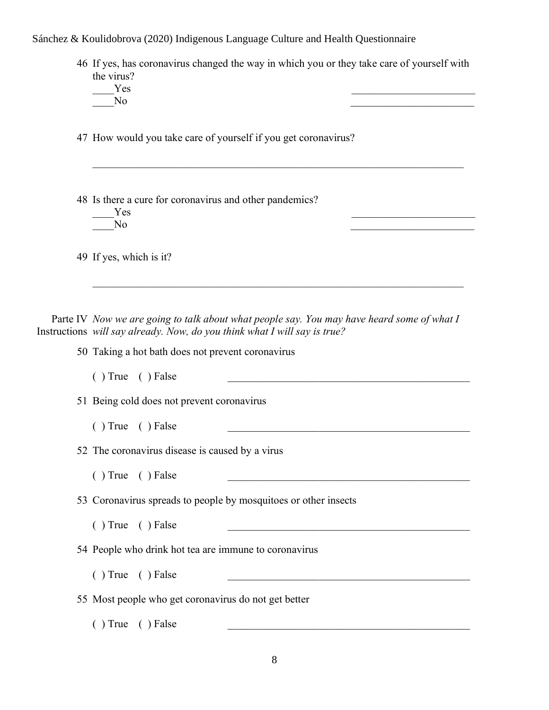46 If yes, has coronavirus changed the way in which you or they take care of yourself with the virus?

 $Yes$ No quantity  $\overline{a}$  and  $\overline{b}$  and  $\overline{b}$  and  $\overline{b}$  and  $\overline{a}$  and  $\overline{a}$  and  $\overline{b}$  and  $\overline{b}$  and  $\overline{b}$  and  $\overline{b}$  and  $\overline{b}$  and  $\overline{b}$  and  $\overline{b}$  and  $\overline{b}$  and  $\overline{b}$  and  $\overline{b}$  and  $\$ 

47 How would you take care of yourself if you get coronavirus?

48 Is there a cure for coronavirus and other pandemics?

Yes  $\overline{Y}$ No quantity  $\overline{a}$  and  $\overline{b}$  and  $\overline{b}$  and  $\overline{b}$  and  $\overline{a}$  and  $\overline{a}$  and  $\overline{b}$  and  $\overline{b}$  and  $\overline{b}$  and  $\overline{b}$  and  $\overline{b}$  and  $\overline{b}$  and  $\overline{b}$  and  $\overline{b}$  and  $\overline{b}$  and  $\overline{b}$  and  $\$ 

49 If yes, which is it?

Parte IV *Now we are going to talk about what people say. You may have heard some of what I* Instructions *will say already. Now, do you think what I will say is true?*

 $\mathcal{L}_\mathcal{L} = \mathcal{L}_\mathcal{L} = \mathcal{L}_\mathcal{L} = \mathcal{L}_\mathcal{L} = \mathcal{L}_\mathcal{L} = \mathcal{L}_\mathcal{L} = \mathcal{L}_\mathcal{L} = \mathcal{L}_\mathcal{L} = \mathcal{L}_\mathcal{L} = \mathcal{L}_\mathcal{L} = \mathcal{L}_\mathcal{L} = \mathcal{L}_\mathcal{L} = \mathcal{L}_\mathcal{L} = \mathcal{L}_\mathcal{L} = \mathcal{L}_\mathcal{L} = \mathcal{L}_\mathcal{L} = \mathcal{L}_\mathcal{L}$ 

50 Taking a hot bath does not prevent coronavirus

 $( )$  True  $( )$  False

51 Being cold does not prevent coronavirus

 $( )$  True  $( )$  False  $\qquad \qquad \qquad$ 

52 The coronavirus disease is caused by a virus

 $( )$  True  $( )$  False

53 Coronavirus spreads to people by mosquitoes or other insects

 $( )$  True  $( )$  False

54 People who drink hot tea are immune to coronavirus

 $( )$  True  $( )$  False

55 Most people who get coronavirus do not get better

 $( )$  True  $( )$  False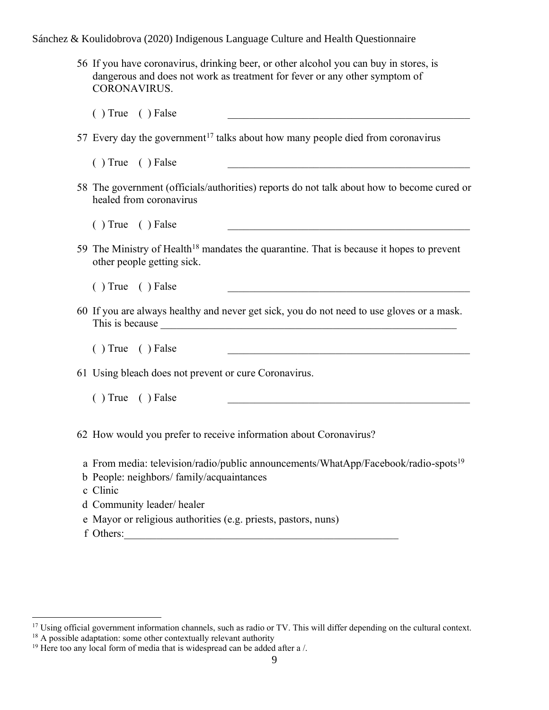56 If you have coronavirus, drinking beer, or other alcohol you can buy in stores, is dangerous and does not work as treatment for fever or any other symptom of CORONAVIRUS.

 $( )$  True  $( )$  False

- 57 Every day the government<sup>17</sup> talks about how many people died from coronavirus
	- $( )$  True  $( )$  False
- 58 The government (officials/authorities) reports do not talk about how to become cured or healed from coronavirus

 $( )$  True  $( )$  False

59 The Ministry of Health<sup>18</sup> mandates the quarantine. That is because it hopes to prevent other people getting sick.

 $( )$  True  $( )$  False

- 60 If you are always healthy and never get sick, you do not need to use gloves or a mask. This is because \_\_\_\_\_\_\_\_\_\_\_\_\_\_\_\_\_\_\_\_\_\_\_\_\_\_\_\_\_\_\_\_\_\_\_\_\_\_\_\_\_\_\_\_\_\_\_\_\_\_\_\_\_\_\_
	- $( )$  True  $( )$  False

61 Using bleach does not prevent or cure Coronavirus.

 $( )$  True  $( )$  False

62 How would you prefer to receive information about Coronavirus?

- a From media: television/radio/public announcements/WhatApp/Facebook/radio-spots<sup>19</sup>
- b People: neighbors/ family/acquaintances
- c Clinic
- d Community leader/ healer
- e Mayor or religious authorities (e.g. priests, pastors, nuns)
- f Others:\_\_\_\_\_\_\_\_\_\_\_\_\_\_\_\_\_\_\_\_\_\_\_\_\_\_\_\_\_\_\_\_\_\_\_\_\_\_\_\_\_\_\_\_\_\_\_\_\_\_\_

 $18$  A possible adaptation: some other contextually relevant authority

 $17$  Using official government information channels, such as radio or TV. This will differ depending on the cultural context.

<sup>&</sup>lt;sup>19</sup> Here too any local form of media that is widespread can be added after a /.